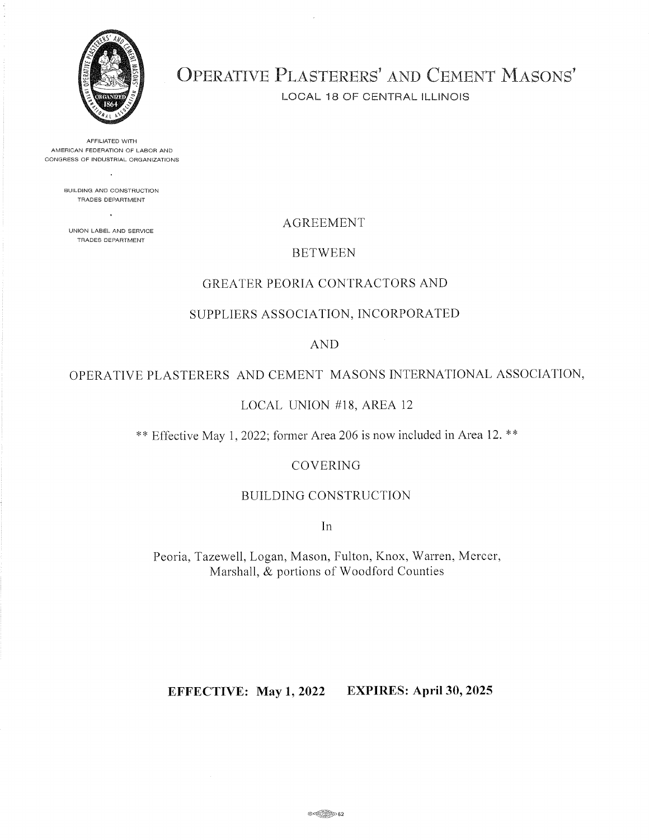

OPERATIVE PLASTERERS' AND CEMENT MASONS'

LOCAL 18 OF CENTRAL ILLINOIS

AFFILIATED WITH AMERICAN FEDERATION OF LABOR AND CONGRESS OF INDUSTRIAL ORGANIZATIONS

> BUILDING AND CONSTRUCTION TRADES DEPARTMENT

UNION LABEL AND SERVÍCE TRADÉS DEPARTMENT

## AGREEMENT

## **BETWEEN**

## GREATER PEORIA CONTRACTORS AND

## SUPPLIERS ASSOCIATION, INCORPORATED

## AND

## OPERATIVE PLASTERERS AND CEMENT MASONS INTERNATIONAL ASSOCIATION,

## LOCAL UNION #18, AREA 12

\*\* Effective May I,2022; former Area206 is now included in Area 12. \*\*

#### COVERING

### BUILDING CONSTRUCTION

In

Peoria, Tazewell, Logan, Mason, Fulton, Knox, Warren, Mercer, Marshall, & portions of Woodford Counties

## EFFECTIVE: May 1,2022 EXPIRES: April30,2025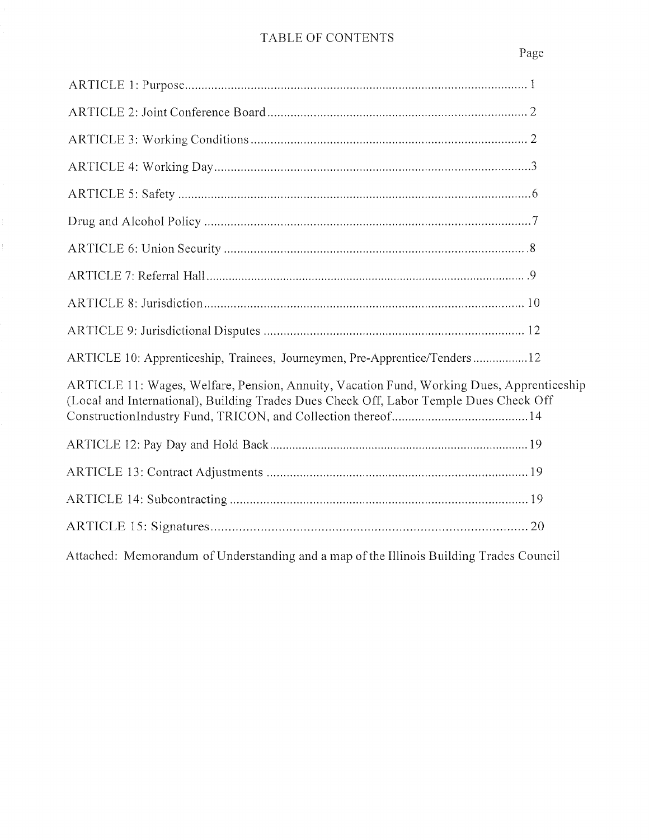# TABLE OF CONTENTS

Page

| ARTICLE 10: Apprenticeship, Trainees, Journeymen, Pre-Apprentice/Tenders12                                                                                                          |
|-------------------------------------------------------------------------------------------------------------------------------------------------------------------------------------|
| ARTICLE 11: Wages, Welfare, Pension, Annuity, Vacation Fund, Working Dues, Apprenticeship<br>(Local and International), Building Trades Dues Check Off, Labor Temple Dues Check Off |
|                                                                                                                                                                                     |
|                                                                                                                                                                                     |
|                                                                                                                                                                                     |
|                                                                                                                                                                                     |
| Attached: Memorandum of Understanding and a map of the Illinois Building Trades Council                                                                                             |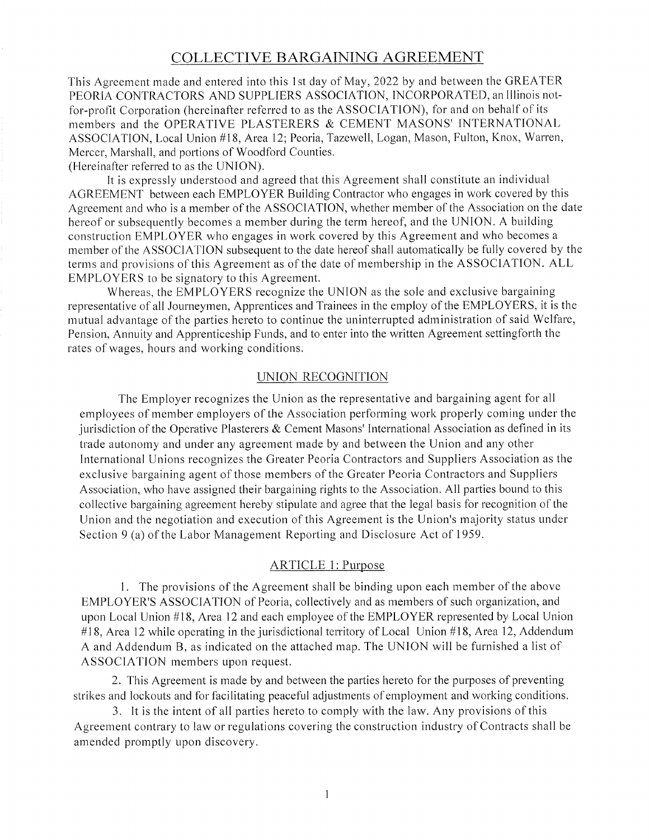## COLLECTIVE BARGAINING AGREEMENT

This Agreement made and entered into this I st day of May, 2022 by and between the GREATER PEORIA CONTRACTORS AND SUPPLIERS ASSOCIATION, INCORPORATED, an Illinois notfor-profit Corporation (hereinafter referred to as the ASSOCIATION), for and on behalf of its members and the OPERATIVE PLASTERERS & CEMENT MASONS' INTERNATIONAL ASSOCIATION, Local Union #18, Area 12; Peoria, Tazewell, Logan, Mason, Fulton, Knox, Warren, Mercer, Marshall, and portions of Woodford Counties.

(Hereinafter referred to as the UNION).

It is expressly understood and agreed that this Agreement shall constitute an individual AGREEMENT between each EMPLOYER Building Contractor who engages in work covered by this Agreement and who is a member of the ASSOCIATION, whether member of the Association on the date hereof or subsequently becomes a member during the term hereof, and the UNION. A building construction EMPLOYER who engages in work covered by this Agreement and who becomes a member of the ASSOCIATION subsequent to the date hereof shall automatically be fully covered by the terms and provisions of this Agreement as of the date of membership in the ASSOCIATION. ALL EMPLOYERS to be signatory to this Agreement.

Whereas, the EMPLOYERS recognize the UNION as the sole and exclusive bargaining representative of all Journeymen, Apprentices and Trainees in the employ of the EMPLOYERS, it is the mutual advantage of the parties hereto to continue the uninterrupted administration of said Welfare, Pension, Annuity and Apprenticeship Funds, and to enter into the written Agreement settingforth the rates of wages, hours and working conditions.

### LINION RECOGNITION

The Employer recognizes the Union as the representative and bargaining agent for all employees of member employers of the Association performing work properly coming under the jurisdiction of the Operative Plasterers  $\&$  Cement Masons' International Association as defined in its trade autonomy and under any agreement made by and between the Union and any other lnternational Unions recognizes the Greater Peoria Contractors and Suppliers Association as the exclusive bargaining agent of those members of the Greater Peoria Contractors and Suppliers Association, who have assigned their bargaining rights to the Association. All parties bound to this collective bargaining agreement hereby stipulate and agree that the legal basis for recognition of the Union and the negotiation and execution of this Agreement is the Union's majority status under Section 9 (a) of the Labor Management Reporting and Disclosure Act of 1959.

### ARTICLE 1: Purpose

l. The provisions of the Agreement shall be binding upon each member of the above EMPLOYER'S ASSOCIATION of Peoria, collectively and as members of such organization, and upon Local Union #18, Area 12 and each employee of the EMPLOYER represented by Local Union  $#18$ , Area 12 while operating in the jurisdictional territory of Local Union  $#18$ , Area 12, Addendum A and Addendum B, as indicated on the attached map. The UNION will be furnished a list of ASSOCIATION members upon request.

2. This Agreement is made by and between the parties hereto for the purposes of preventing strikes and lockouts and for facilitating peaceful adjustments of employment and working conditions.

3. It is the intent of all parties hereto to comply with the law. Any provisions of this Agreement contrary to law or regulations covering the construction industry of Contracts shall be amended promptly upon discovery.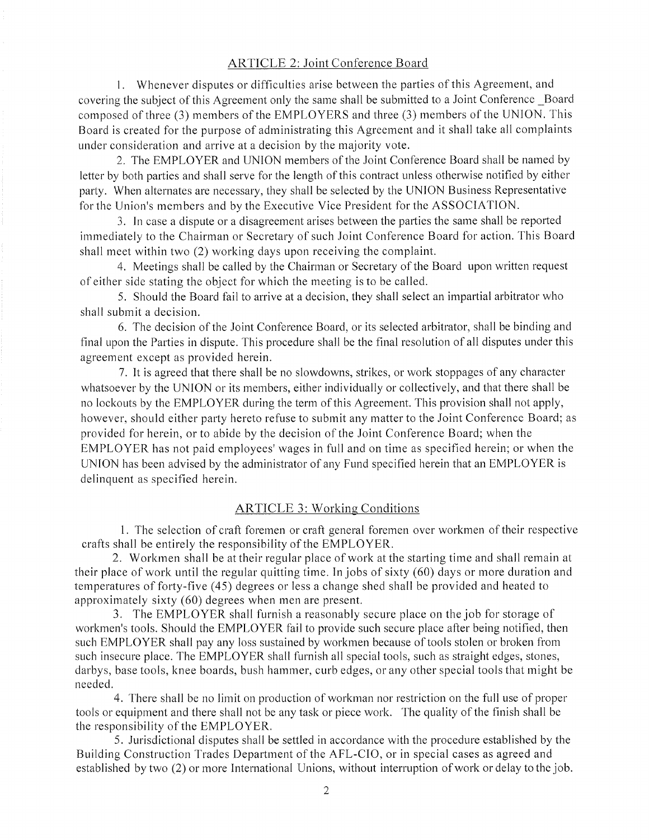### ARTICLE 2: Joint Conference Board

1. Whenever disputes or difficulties arise between the parties of this Agreement, and covering the subject of this Agreement only the same shall be submitted to a Joint Conference Board composed of three (3) members of the EMPLOYERS and three (3) members of the UNION. This Board is created for the purpose of administrating this Agreement and it shall take all complaints under consideration and arrive at a decision by the majority vote.

2. The EMPLOYER and UNION members of the Joint Conference Board shall be named by letter by both parties and shall serve for the length of this contract unless otherwise notified by either party. When alternates are necessary, they shall be selected by the UNION Business Representative for the Union's members and by the Executive Vice President for the ASSOCIATION.

3. [n case a dispute or a disagreement arises between the parties the same shall be reported immediately to the Chairman or Secretary of such Joint Conference Board for action. This Board shall meet within two (2) working days upon receiving the complaint.

4. Meetings shall be called by the Chairman or Secretary of the Board upon written request of either side stating the object for which the meeting is to be called.

5. Should the Board fail to arrive at a decision, they shall select an impartial arbitrator who shall submit a decision.

6. The decision of the Joint Conference Board, or its selected arbitrator, shall be binding and final upon the Parties in dispute. This procedure shall be the final resolution of all disputes under this agreement except as provided herein.

7. It is agreed that there shall be no slowdowns, strikes, or work stoppages of any character whatsoever by the UNION or its members, either individually or collectively, and that there shall be no lockouts by the EMPLOYER during the term of this Agreement. This provision shall not apply, however, should either party hereto refuse to submit any matter to the Joint Conference Board; as provided for herein, or to abide by the decision of the Joint Conference Board; when the EMPLOYER has not paid employees'wages in full and on time as specified herein; or when the UNION has been advised by the administrator of any Fund specified herein that an EMPLOYER is delinquent as specified herein.

## ARTICLE 3: Working Conditions

1. The selection of craft foremen or craft general foremen over workmen of their respective crafts shall be entirely the responsibility of the EMPLOYER.

2. Workmen shall be at their regular place of work at the starting time and shall remain at their place of work until the regular quitting time. In jobs of sixty (60) days or more duration and temperatures of forty-five (45) degrees or less a change shed shall be provided and heated to approximately sixty (60) degrees when men are present.

3. The EMPLOYER shall furnish a reasonably secure place on the job for storage of workmen's tools. Should the EMPLOYER fail to provide such secure place after being notified, then such EMPLOYER shall pay any loss sustained by workmen because of tools stolen or broken from such insecure place. The EMPLOYER shall furnish all special tools, such as straight edges, stones, darbys, base tools, knee boards, bush hammer, curb edges, or any other special tools that might be needed.

4. There shall be no limit on production of workman nor restriction on the full use of proper tools or equipment and there shall not be any task or piece work. The quality of the finish shall be the responsibility of the EMPLOYER.

5. Jurisdictional disputes shall be settled in accordance with the procedure established by the Building Construction Trades Department of the AFL-CIO, or in special cases as agreed and established by two (2) or more International Unions, without interruption of work or delay to the job.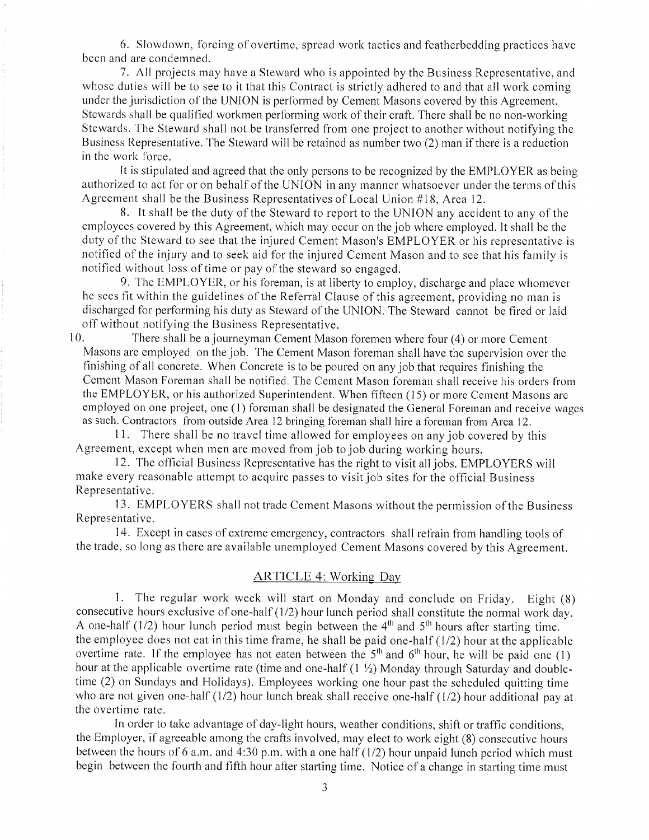6. Slowdown, forcing of overtime, spread work tactics and featherbedding practices have been and are condemned.

<sup>7</sup>. All projects may have a Steward who is appointed by the Business Representative, and whose duties will be to see to it that this Contract is strictly adhered to and that all work coming under the jurisdiction of the LINION is performed by Cement Masons covered by this Agreement. Stewards shall be qualified workmen performing work of their craft. There shall be no non-working Stewards. The Steward shall not be transferred from one project to another without notifying the Business Representative. The Steward will be retained as number two (2) man if there is a reduction in the work force.

It is stipulated and agreed that the only persons to be recognized by the EMPLOYER as being authorized to act for or on behalf of the UNION in any manner whatsoever under the terms of this Agreement shall be the Business Representatives of Local Union #18, Area 12.

8. It shall be the duty of the Steward to report to the UNION any accident to any of the ernployees covered by this Agreement, which may occur on the job where employed. It shall be the duty of the Steward to see that the injured Cement Mason's EMPLOYER or his representative is notified of the injury and to seek aid for the injured Cement Mason and to see that his family is notified without loss of time or pay of the steward so engaged.

9. The EMPLOYER, or his foreman, is at liberty to employ, discharge and place whomever he sees fit within the guidelines of the Referral Clause of this agreement, providing no man is discharged for performing his duty as Steward of the LINION. The Steward cannot be fired or laid off without notifying the Business Representative.

10. There shall be a journeyman Cement Mason foremen where four (4) or more Cement Masons are employed on the job. The Cement Mason foreman shall have the supervision over the finishing of all concrete. When Concrete is to be poured on any job that requires frnishing the Cement Mason Foreman shall be notified. The Cement Mason foreman shall receive his orders from the EMPLOYER, or his authorized Superintendent. When fifteen (15) or more Cement Masons are employed on one project, one (1) foreman shall be designated the General Foreman and receive wages as such. Contractors from outside Area 12 bringing foreman shall hire a foreman from Area 12.

11. There shall be no travel time allowed for employees on any job covered by this Agreement, except when men are moved from job to job during working hours.

12. The official Business Representative has the right to visit all jobs. EMPLOYERS will make every reasonable attempt to acquire passes to visit job sites for the official Business Representative.

13. EMPLOYERS shall not trade Cement Masons without the permission of the Business Representative.

14. Except in cases of extreme emergency, contractors shall refrain from handling tools of the trade, so long as there arc available unemployed Cement Masons covered by this Agreement.

### ARTICLE 4: Working Day

l. The regular work week will start on Monday and conclude on Friday. Eight (S) consecutive hours exclusive of one-half (1/2) hour lunch period shall constitute the normal work day. A one-half (1/2) hour lunch period must begin between the  $4<sup>th</sup>$  and  $5<sup>th</sup>$  hours after starting time. the employee does not eat in this time frame, he shall be paid one-half  $(1/2)$  hour at the applicable overtime rate. If the employee has not eaten between the  $5<sup>th</sup>$  and  $6<sup>th</sup>$  hour, he will be paid one (1) hour at the applicable overtime rate (time and one-half  $(1 \frac{1}{2})$  Monday through Saturday and doubletime (2) on Sundays and Holidays). Employees working one hour past the scheduled quitting time who are not given one-half (1/2) hour lunch break shall receive one-half (1/2) hour additional pay at the overtime rate.

In order to take advantage of day-light hours, weather conditions, shift or traffic conditions, the Employer, if agreeable among the crafts involved, may elect to work eight (8) consecutive hours between the hours of 6 a.m. and 4:30 p.m. with a one half  $(1/2)$  hour unpaid lunch period which must begin between the fourth and fifth hour after starting time. Notice of a change in starting time must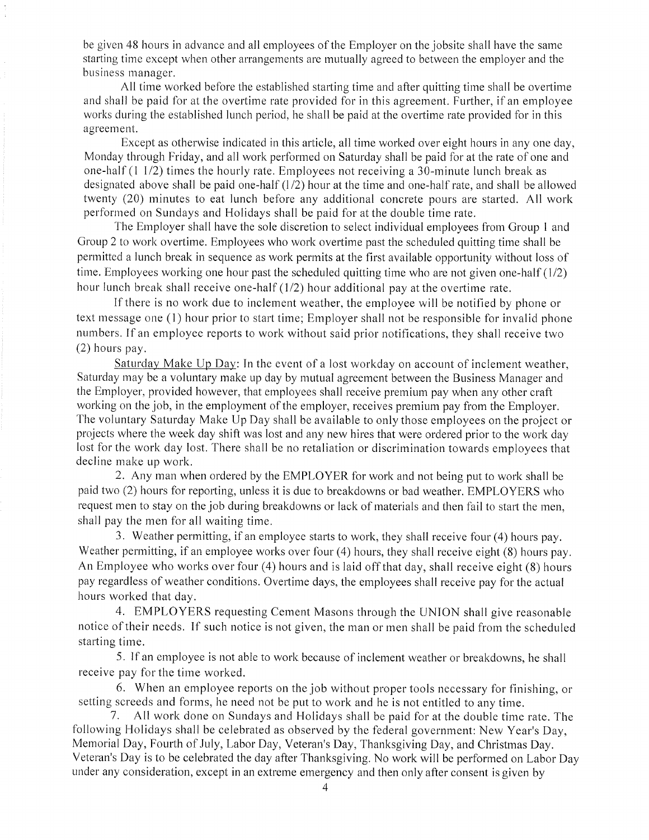be given 48 hours in advance and all employees of the Employer on the jobsite shall have the same starting time except when other arrangements are mutually agreed to between the employer and the business manager.

All time worked before the established starting time and after quitting time shall be overtime and shall be paid for at the overtime rate provided for in this agreement. Further, if an employee works during the established lunch period, he shall be paid at the overtime rate provided for in this agreement.

Except as otherwise indicated in this article, all time worked over eight hours in any one day, Monday through Friday, and all work performed on Saturday shall be paid for at the rate of one and one-half (l 112) times the hourly rate. Employees not receiving a 30-minute lunch break as designated above shall be paid one-half  $(1/2)$  hour at the time and one-half rate, and shall be allowed twenty (20) minutes to eat lunch before any additional concrete pours are started. All work performed on Sundays and Holidays shall be paid for at the double time rate,

The Employer shall have the sole discretion to select individual employees from Group I and Group 2 to work overtime. Employees who work overtime past the scheduled quitting time shall be permitted a lunch break in sequence as work permits at the first available opportunity without loss of time. Employees working one hour past the scheduled quitting time who are not given one-half  $(1/2)$ hour lunch break shall receive one-half (1/2) hour additional pay at the overtime rate.

If there is no work due to inclement weather, the employee will be notified by phone or text message one (1) hour prior to start time; Employer shall not be responsible for invalid phone numbers. If an employee reports to work without said prior notifications, they shall receive two (2) hours pay.

Saturday Make Up Day: In the event of a lost workday on account of inclement weather, Saturday may be a voluntary make up day by mutual agreement between the Business Manager and the Employer, provided however, that employees shall receive premium pay when any other craft working on the job, in the employment of the employer, receives premium pay from the Employer. The voluntary Saturday Make Up Day shall be available to only those employees on the project or projects where the week day shift was lost and any new hires that were ordered prior to the work day lost for the work day lost. There shall be no retaliation or discrimination towards employees that decline make up work.

2. Any man when ordered by the EMPLOYER for work and not being put to work shall be paid two (2) hours for reporting, unless it is due to breakdowns or bad weather. EMPLOYERS who request men to stay on the job during breakdowns or lack of materials and then fail to start the men, shall pay the men for all waiting time.

3. Weather permitting, if an employee starts to work, they shall receive four (4) hours pay. Weather permitting, if an employee works over four (4) hours, they shall receive eight (8) hours pay. An Employee who works over four (4) hours and is laid off that day, shall receive eight (8) hours pay regardless of weather conditions. Overtime days, the employees shall receive pay for the actual hours worked that day.

4. EMPLOYERS requesting Cement Masons through the UNION shall give reasonable notice of their needs. If such notice is not given, the man or men shall be paid from the scheduled starting time.

5. If an employee is not able to work because of inclement weather or breakdowns, he shall receive pay for the time worked.

6. When an employee reports on the job without proper tools necessary for finishing, or setting screeds and forms, he need not be put to work and he is not entitled to any time.

7. All work done on Sundays and Holidays shall be paid for at the double time rate. The following Holidays shall be celebrated as observed by the federal government: New Year's Day, Memorial Day, Fourth of July, Labor Day, Veteran's Day, Thanksgiving Day, and Christmas Day. Veteran's Day is to be celebrated the day after Thanksgiving. No work will be performed on Labor Day under any consideration, except in an extreme emergency and then only after consent is given by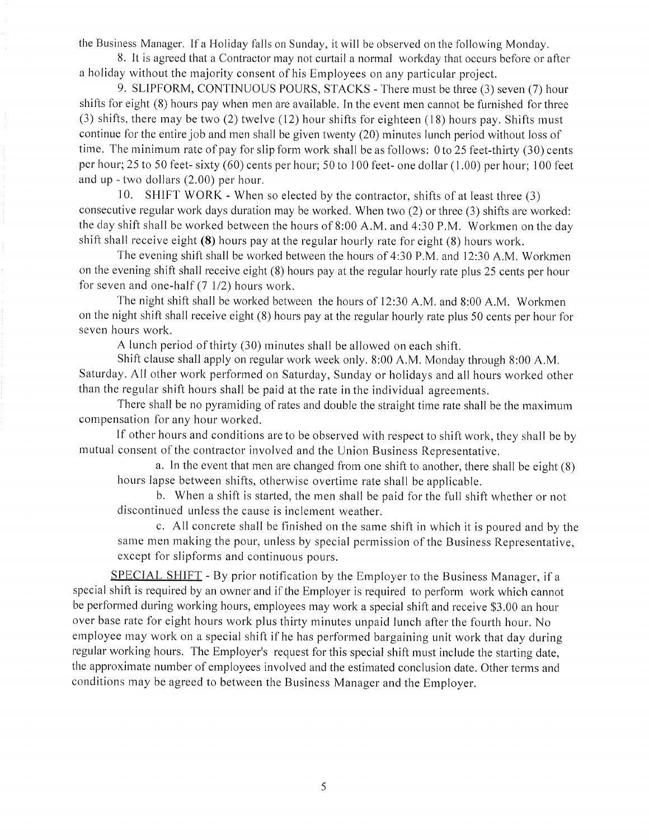the Business Manager. If a Holiday falls on Sunday, it will be observed on the following Monday.

8. It is agreed that a Contractor may not curtail a normal workday that occurs before or after a holiday without the majority consent of his Employees on any particular project.

9. SLIPFORM, CONTINUOUS POURS, STACKS - There must be three (3) seven (7) hour shifts for eight (8) hours pay when men are available. In the event men cannot be furnished for three (3) shifts, there may be two (2) twelve (12) hour shifts for eighteen (18) hours pay. Shifts must continue for the entire job and men shall be given twenty (20) minutes lunch period without loss of time. The minimum rate of pay for slip form work shall be as follows: 0 to 25 feet-thirty (30) cents per hour; 25 to 50 feet- sixty (60) cents per hour; 50 to I 00 feet- one dollar ( 1.00) per hour; I 00 feet and up - two dollars (2.00) per hour.

<sup>1</sup>0. SHIFT WORK - When so elected by the contractor, shifts of at least three (3) consecutive regular work days duration may be worked. When two (2) or three (3) shifts are worked: the day shift shall be worked between the hours of 8:00 A.M. and 4:30 P.M. Workmen on the day shift shall receive eight  $(8)$  hours pay at the regular hourly rate for eight  $(8)$  hours work.

The evening shift shall be worked between the hours of 4:30 P.M. and 12:30 A.M. Workmen on the evening shift shall receive eight (8) hours pay at the regular hourly rate plus 25 cents per hour for seven and one-half  $(7 \frac{1}{2})$  hours work.

The night shift shall be worked between the hours of 12:30 A.M. and 8:00 A.M. Workmen on the night shift shall receive eight (8) hours pay at the regular hourly rate plus 50 cents per hour for seven hours work.

A lunch period of thirty (30) minutes shall be allowed on each shift.

Shift clause shall apply on regular work week only. 8:00 A.M. Monday through 8:00 A.M. Saturday. All other work performed on Saturday, Sunday or holidays and all hours worked other than the regular shift hours shall be paid at the rate in the individual agreements.

There shall be no pyramiding of rates and double the straight time rate shall be the maximum compensation for any hour worked.

If other hours and conditions are to be observed with respect to shift work, they shall be by mutual consent of the contractor involved and the Union Business Representative.

a. In the event that men are changed from one shift to another, there shall be eight (8) hours lapse between shifts, otherwise overtime rate shall be applicable.

b. When a shift is started, the men shall be paid for the full shift whether or not discontinued unless the cause is inclement weather.

c. All concrete shall be finished on the same shift in which it is poured and by the same men making the pour, unless by special permission of the Business Representative, except for slipforms and continuous pours.

SPECIAL SHIFT - By prior notification by the Employer to the Business Manager, if <sup>a</sup> special shift is required by an owner and if the Employer is required to perform work which cannot be performed during working hours, employees may work a special shift and receive \$3.00 an hour over base rate for eight hours work plus thirty minutes unpaid lunch after the fourth hour. No employee may work on a special shift if he has performed bargaining unit work that day during regular working hours. The Employer's request for this special shift must include the starting date, the approximate number of employees involved and the estimated conclusion date. Other terms and conditions may be agreed to between the Business Manager and the Employer.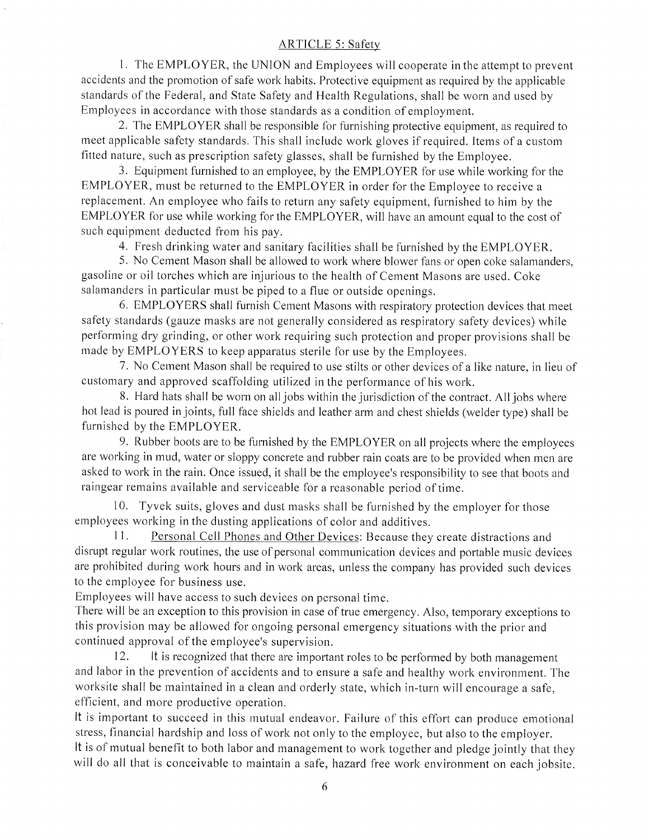### ARTICLE 5: Safety

l. The EMPLOYER, the UNION and Employees will cooperate in the attempt to prevent accidents and the promotion of safe work habits. Protective equipment as required by the applicable standards of the Federal, and State Safety and Health Regulations, shall be worn and used by Employees in accordance with those standards as a condition of employment.

2. The EMPLOYER shall be responsible for furnishing protective equipment, as required to meet applicable safety standards. This shall include work gloves if required. Items of a custom fitted nature, such as prescription safety glasses, shall be furnished by the Employee.

3. Equipment furnished to an employee, by the EMPLOYER for use while working for the EMPLOYER, must be returned to the EMPLOYER in order for the Employee to receive <sup>a</sup> replacement. An employee who fails to return any safety equipment, furnished to him by the EMPLOYER for use while working for the EMPLOYER, will have an amount equal to the cost of such equipment deducted from his pay.

4. Fresh drinking water and sanitary facilities shall be furnished by the EMPLOYER.

5. No Cement Mason shall be allowed to work where blower fans or open coke salamanders, gasoline or oil torches which are injurious to the health of Cement Masons are used. Coke salamanders in particular must be piped to a flue or outside openings.

6. EMPLOYERS shall furnish Cement Masons with respiratory protection devices that meet safety standards (gauze masks are not generally considered as respiratory safety devices) while performing dry grinding, or other work requiring such protection and proper provisions shall be made by EMPLOYERS to keep apparatus sterile for use by the Employees.

7. No Cement Mason shall be required to use stilts or other devices of a like nature, in lieu of customary and approved scaffolding utilized in the performance of his work.

8. Hard hats shall be worn on all jobs within the jurisdiction of the contract. All jobs where hot lead is poured in joints, full face shields and leather arm and chest shields (welder type) shall be furnished by the EMPLOYER.

9. Rubber boots are to be furnished by the EMPLOYER on all projects where the employees are working in mud, water or sloppy concrete and rubber rain coats are to be provided when men are asked to work in the rain. Once issued, it shall be the employee's responsibility to see that boots and raingear remains available and serviceable for a reasonable period of time.

10. Tyvek suits, gloves and dust masks shall be furnished by the employer for those employees working in the dusting applications of color and additives.

11. Personal Cell Phones and Other Devices: Because they create distractions and disrupt regular work routines, the use of personal communication devices and portable music devices are prohibited during work hours and in work areas, unless the company has provided such devices to the employee for business use.

Employees will have access to such devices on personal time.

There will be an exception to this provision in case of true emergency. Also, temporary exceptions to this provision may be allowed for ongoing personal emergency situations with the prior and continued approval of the employee's supervision.

12. It is recognized that there are important roles to be performed by both management and labor in the prevention of accidents and to ensure a safe and healthy work environment. The worksite shall be maintained in a clean and orderly state, which in-turn will encourage a safe, efficient, and more productive operation.

It is important to succeed in this mutual endeavor. Failure of this effort can produce emotional stress, financial hardship and loss of work not only to the employee, but also to the employer. It is of mutual benefit to both labor and management to work together and pledge jointly that they will do all that is conceivable to maintain a safe, hazard free work environment on each jobsite.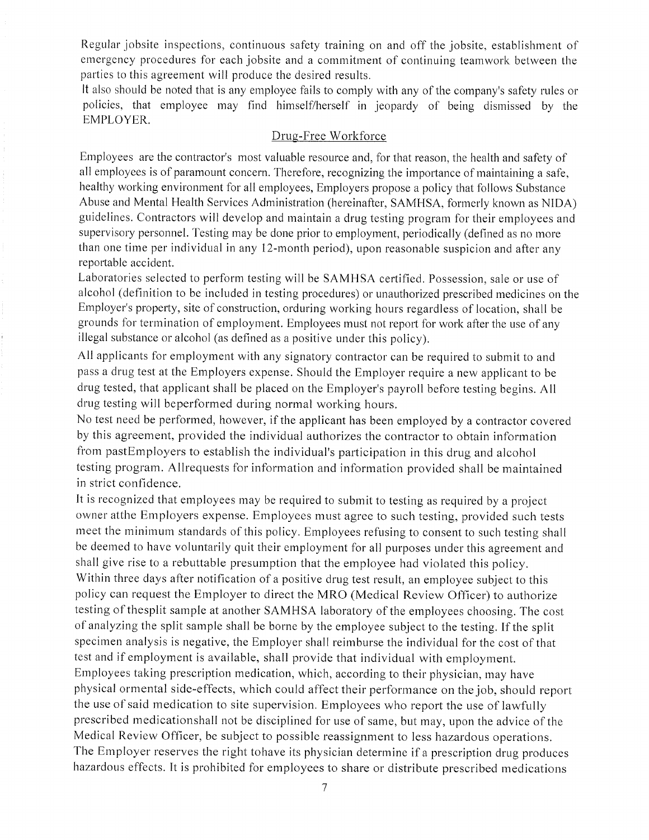Regular jobsite inspections, continuous safety training on and off the jobsite, establishment of emergency procedures for each jobsite and a commitment of continuing teamwork between the parties to this agreement will produce the desired results.

It also should be noted that is any employee fails to comply with any of the company's safety rules or policies, that employee may find himself/herself in jeopardy of being dismissed by the EMPLOYER.

## Drug-Free Workforce

Employees are the contractor's most valuable resource and, for that reason, the health and safety of all employees is of paramount concern. Therefore, recognizing the importance of maintaining a safe, healthy working environment for all employees, Employers propose a policy that follows Substance Abuse and Mental Health Services Administration (hereinafter, SAMHSA, formerly known as NIDA) guidelines. Contractors will develop and maintain a drug testing program for their employees and supervisory personnel. Testing may be done prior to employment, periodically (defined as no more than one time per individual in any 12-month period), upon reasonable suspicion and after any reportable accident.

Laboratories selected to perform testing will be SAMHSA certified. Possession, sale or use of alcohol (definition to be included in testing procedures) or unauthorized prescribed medicines on the Employer's property, site of construction, orduring working hours regardless of location, shall be grounds for termination of employment. Employees must not report for work after the use of any illegal substance or alcohol (as defined as a positive under this policy).

All applicants for employment with any signatory contractor can be required to submit to and pass a drug test at the Employers expense. Should the Employer require a new applicant to be drug tested, that applicant shall be placed on the Employer's payroll before testing begins. All drug testing will beperformed during normal working hours.

No test need be performed, however, if the applicant has been employed by a contractor covered by this agreement, provided the individual authorizes the contractor to obtain information from pastEmployers to establish the individual's participation in this drug and alcohol testing program. Allrequests for information and information provided shall be maintained in strict confidence.

It is recognized that employees may be required to submit to testing as required by a project owner atthe Employers expense. Employees must agree to such testing, provided such tests meet the minimum standards of this policy. Employees refusing to consent to such testing shall be deemed to have voluntarily quit their employment for all purposes under this agreement and shall give rise to a rebuttable presumption that the employee had violated this policy. Within three days after notification of a positive drug test result, an employee subject to this policy can request the Employer to direct the MRO (Medical Review Officer) to authorize testing of thesplit sample at another SAMHSA laboratory of the employees choosing. The cost of analyzing the split sample shall be borne by the employee subject to the testing. If the split specimen analysis is negative, the Employer shall reimburse the individual for the cost of that test and if employment is available, shall provide that individual with employment. Employees taking prescription medication, which, according to their physician, may have physical ormental side-effects, which could affect their performance on the job, should report the use of said medication to site supervision. Employees who report the use of lawfully prescribed medicationshall not be disciplined for use of same, but may, upon the advice of the Medical Review Officer, be subject to possible reassignment to less hazardous operations. The Employer reserves the right tohave its physician determine if a prescription drug produces hazardous effects. It is prohibited for employees to share or distribute prescribed medications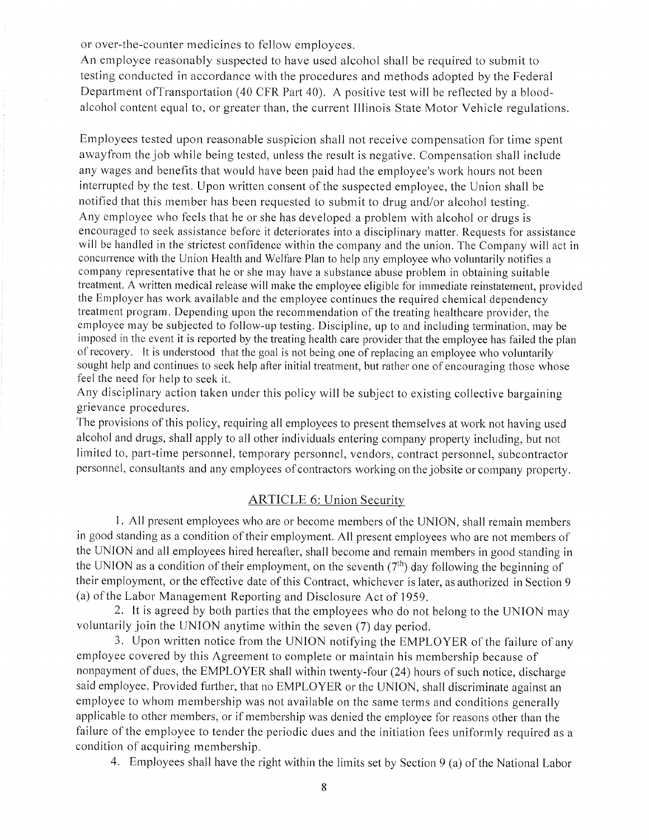or over-the-counter medicines to fellow employees.

An employee reasonably suspected to have used alcohol shall be required to submit to testing conducted in accordance with the procedures and methods adopted by the Federal Department ofTransportation (40 CFR Part 40). A positive test will be reflected by a bloodalcohol content equal to, or greater than, the current Illinois State Motor Vehicle regulations.

Employees tested upon reasonable suspicion shall not receive compensation for time spent awayfrom the job while being tested, unless the result is negative. Compensation shall include any wages and benefits that would have been paid had the employee's work hours not been interrupted by the test. Upon written consent of the suspected employee, the Union shall be notified that this member has been requested to submit to drug and/or alcohol testing. Any employee who feels that he or she has developed a problem with alcohol or drugs is encouraged to seek assistance before it deteriorates into a disciplinary matter. Requests for assistance will be handled in the strictest confidence within the company and the union. The Company will act in concurrence with the Union Health and Welfare Plan to help any employee who voluntarily notifies a company representative that he or she may have a substance abuse problem in obtaining suitable treatment. A written medical release will make the employee eligible for immediate reinstatement, provided the Employer has work available and the employee continues the required chemical dependency treatment program. Depending upon the recommendation of the treating healthcare provider, the employee may be subjected to follow-up testing. Discipline, up to and including termination, may be imposed in the event it is reported by the treating health care provider that the employee has failed the plan of recovety. It is understood that the goal is not being one of replacing an employee who voluntarily sought help and continues to seek help after initial treatment, but rather one of encouraging those whose feel the need for help to seek it.

Any disciplinary action taken under this policy will be subject to existing collective bargaining grievance procedures.

The provisions of this policy, requiring all employees to present themselves at work not having used alcohol and drugs, shall apply to all other individuals entering company property including, but not limited to, part-time personnel, temporary personnel, vendors, contract personnel, subcontractor personnel, consultants and any employees of contractors working on the jobsite or company property.

## ARTICLE 6: Union Security

1. All present employees who are or become members of the UNION, shall remain members in good standing as a condition of their employment. All present employees who are not members of the TINION and all employees hired hereafter, shall become and remain members in good standing in the UNION as a condition of their employment, on the seventh  $(7<sup>th</sup>)$  day following the beginning of their employment, or the effective date of this Contract, whichever is later, as authorized in Section 9 (a) of the Labor Management Reporting and Disclosure Act of 1959.

2. It is agreed by both parties that the employees who do not belong to the UNION may voluntarily join the UNION anytime within the seven (7) day period.

3. Upon written notice from the UNION notifying the EMPLOYER of the failure of any employee covered by this Agreement to complete or maintain his membership because of nonpayment of dues, the EMPLOYER shall within twenty-four (24) hours of such notice, discharge said employee. Provided further, that no EMPLOYER or the UNION, shall discriminate against an employee to whom membership was not available on the same terms and conditions generally applicable to other members, or if membership was denied the employee for reasons other than the failure of the employee to tender the periodic dues and the initiation fees uniformly required as a condition of acquiring membership.

4. Employees shall have the right within the limits set by Section 9 (a) of the National Labor